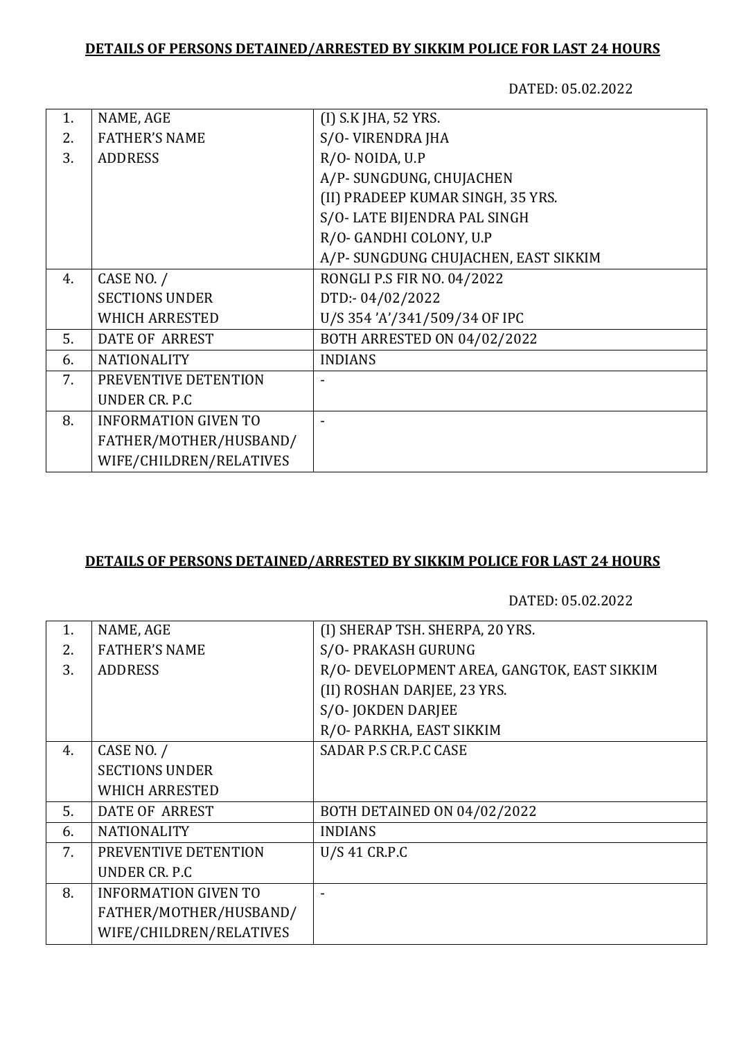## **DETAILS OF PERSONS DETAINED/ARRESTED BY SIKKIM POLICE FOR LAST 24 HOURS**

DATED: 05.02.2022

| 1. | NAME, AGE                   | (I) S.K JHA, 52 YRS.                 |
|----|-----------------------------|--------------------------------------|
| 2. | <b>FATHER'S NAME</b>        | S/O-VIRENDRA JHA                     |
| 3. | <b>ADDRESS</b>              | R/O-NOIDA, U.P                       |
|    |                             | A/P-SUNGDUNG, CHUJACHEN              |
|    |                             | (II) PRADEEP KUMAR SINGH, 35 YRS.    |
|    |                             | S/O-LATE BIJENDRA PAL SINGH          |
|    |                             | R/O- GANDHI COLONY, U.P              |
|    |                             | A/P- SUNGDUNG CHUJACHEN, EAST SIKKIM |
| 4. | CASE NO. /                  | RONGLI P.S FIR NO. 04/2022           |
|    | <b>SECTIONS UNDER</b>       | DTD:-04/02/2022                      |
|    | <b>WHICH ARRESTED</b>       | U/S 354'A'/341/509/34 OF IPC         |
| 5. | DATE OF ARREST              | <b>BOTH ARRESTED ON 04/02/2022</b>   |
| 6. | <b>NATIONALITY</b>          | <b>INDIANS</b>                       |
| 7. | PREVENTIVE DETENTION        |                                      |
|    | <b>UNDER CR. P.C</b>        |                                      |
| 8. | <b>INFORMATION GIVEN TO</b> |                                      |
|    | FATHER/MOTHER/HUSBAND/      |                                      |
|    | WIFE/CHILDREN/RELATIVES     |                                      |
|    |                             |                                      |

## **DETAILS OF PERSONS DETAINED/ARRESTED BY SIKKIM POLICE FOR LAST 24 HOURS**

DATED: 05.02.2022

| 1. | NAME, AGE                   | (I) SHERAP TSH. SHERPA, 20 YRS.             |
|----|-----------------------------|---------------------------------------------|
| 2. | <b>FATHER'S NAME</b>        | S/O- PRAKASH GURUNG                         |
| 3. | <b>ADDRESS</b>              | R/O- DEVELOPMENT AREA, GANGTOK, EAST SIKKIM |
|    |                             | (II) ROSHAN DARJEE, 23 YRS.                 |
|    |                             | S/O-JOKDEN DARJEE                           |
|    |                             | R/O- PARKHA, EAST SIKKIM                    |
| 4. | CASE NO. /                  | SADAR P.S CR.P.C CASE                       |
|    | <b>SECTIONS UNDER</b>       |                                             |
|    | <b>WHICH ARRESTED</b>       |                                             |
| 5. | <b>DATE OF ARREST</b>       | BOTH DETAINED ON 04/02/2022                 |
| 6. | <b>NATIONALITY</b>          | <b>INDIANS</b>                              |
| 7. | PREVENTIVE DETENTION        | U/S 41 CR.P.C                               |
|    | UNDER CR. P.C.              |                                             |
| 8. | <b>INFORMATION GIVEN TO</b> |                                             |
|    | FATHER/MOTHER/HUSBAND/      |                                             |
|    | WIFE/CHILDREN/RELATIVES     |                                             |